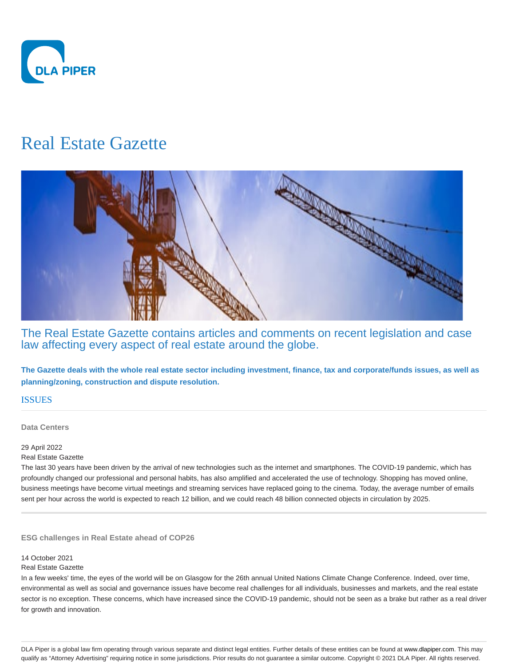

# Real Estate Gazette



The Real Estate Gazette contains articles and comments on recent legislation and case law affecting every aspect of real estate around the globe.

**The Gazette deals with the whole real estate sector including investment, finance, tax and corporate/funds issues, as well as planning/zoning, construction and dispute resolution.**

## **ISSUES**

**Data Centers**

## 29 April 2022

#### Real Estate Gazette

The last 30 years have been driven by the arrival of new technologies such as the internet and smartphones. The COVID-19 pandemic, which has profoundly changed our professional and personal habits, has also amplified and accelerated the use of technology. Shopping has moved online, business meetings have become virtual meetings and streaming services have replaced going to the cinema. Today, the average number of emails sent per hour across the world is expected to reach 12 billion, and we could reach 48 billion connected objects in circulation by 2025.

**ESG challenges in Real Estate ahead of COP26**

## 14 October 2021

#### Real Estate Gazette

In a few weeks' time, the eyes of the world will be on Glasgow for the 26th annual United Nations Climate Change Conference. Indeed, over time, environmental as well as social and governance issues have become real challenges for all individuals, businesses and markets, and the real estate sector is no exception. These concerns, which have increased since the COVID-19 pandemic, should not be seen as a brake but rather as a real driver for growth and innovation.

DLA Piper is a global law firm operating through various separate and distinct legal entities. Further details of these entities can be found at www.dlapiper.com. This may qualify as "Attorney Advertising" requiring notice in some jurisdictions. Prior results do not guarantee a similar outcome. Copyright @ 2021 DLA Piper. All rights reserved.